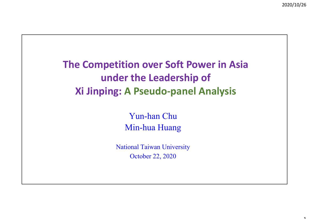$\overline{ }$ 

**The Competition over Soft Power in Asia under the Leadership of Xi Jinping: A Pseudo‐panel Analysis**

> Yun-han Chu Min-hua Huang

National Taiwan University October 22, 2020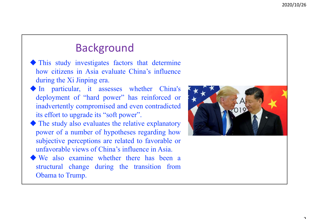## Background

 This study investigates factors that determine how citizens in Asia evaluate China's influence during the Xi Jinping era.

- In particular, it assesses whether China's deployment of "hard power" has reinforced or inadvertently compromised and even contradicted its effort to upgrade its "soft power".
- The study also evaluates the relative explanatory power of <sup>a</sup> number of hypotheses regarding how subjective perceptions are related to favorable or unfavorable views of China's influence in Asia.
- We also examine whether there has been <sup>a</sup> structural change during the transition from Obama to Trump.

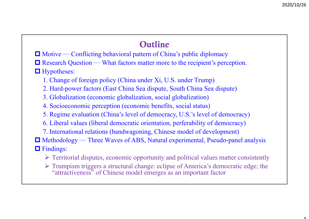## Outline

- $\Box$  Motive Conflicting behavioral pattern of China's public diplomacy
- Research Question What factors matter more to the recipient's perception.
- **Hypotheses:** 
	- 1. Change of foreign policy (China under Xi, U.S. under Trump)
	- 2. Hard-power factors (East China Sea dispute, South China Sea dispute)
	- 3. Globalization (economic globalization, social globalization)
	- 4. Socioeconomic perception (economic benefits, social status)
	- 5. Regime evaluation (China's level of democracy, U.S.'s level of democracy)
	- 6. Liberal values (liberal democratic orientation, perferability of democracy)
	- 7. International relations (bandwagoning, Chinese model of development)
- Methodology ─ Three Waves of ABS, Natural experimental, Pseudo-panel analysis
- $\Box$  Findings:
	- $\triangleright$  Territorial disputes, economic opportunity and political values matter consistently
	- Trumpism triggers a structural change: eclipse of America's democratic edge; the "attractiveness" of Chinese model emerges as an important factor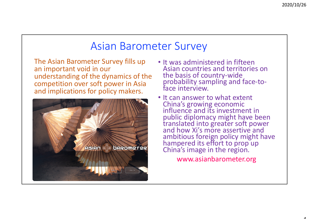## Asian Barometer Survey

The Asian Barometer Survey fills up an important void in our understanding of the dynamics of the competition over soft power in Asia and implications for policy makers.



- It was administered in fifteen Asian countries and territories on the basis of country-wide<br> probability sampling and face-to-<br>face interview.
- It can answer to what extent China's growing economic<br>influence and its investment in public diplomacy might have been translated into greater soft power and how Xi's more assertive and ambitious foreign policy might have hampered its effort to prop up China's image in the region.

www.asianbarometer.org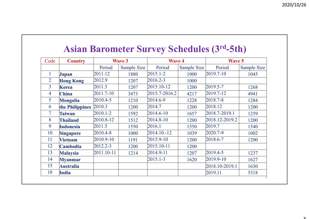| <b>Asian Barometer Survey Schedules (3rd-5th)</b> |  |  |  |
|---------------------------------------------------|--|--|--|
|---------------------------------------------------|--|--|--|

| Code<br><b>Country</b> |                  | <b>Wave 3</b> |             | <b>Wave 4</b> |             | <b>Wave 5</b>  |             |
|------------------------|------------------|---------------|-------------|---------------|-------------|----------------|-------------|
|                        |                  | Period        | Sample Size | Period        | Sample Size | Period         | Sample Size |
| $\mathbf{1}$           | <b>Japan</b>     | 2011.12       | 1880        | $2015.1 - 2$  | 1000        | 2019.7-10      | 1045        |
| $\overline{2}$         | <b>Hong Kong</b> | 2012.9        | 1207        | 2016.2-3      | 1000        |                |             |
| $\overline{3}$         | <b>Korea</b>     | 2011.5        | 1207        | 2015.10-12    | 1200        | 2019.5-7       | 1268        |
| $\overline{4}$         | <b>China</b>     | 2011.7-10     | 3473        | 2015.7-2016.2 | 4217        | 2019.7-12      | 4941        |
| 5                      | Mongolia         | 2010.4-5      | 1210        | 2014.6-9      | 1228        | 2018.7-8       | 1284        |
| 6                      | the Philippines  | 2010.3        | 1200        | 2014.7        | 1200        | 2018.12        | 1200        |
| $\overline{7}$         | <b>Taiwan</b>    | 2010.1-2      | 1592        | 2014.6-10     | 1657        | 2018.7-2019.1  | 1259        |
| 8                      | <b>Thailand</b>  | 2010.8-12     | 1512        | 2014.8-10     | 1200        | 2018.12-2019.2 | 1200        |
| 9                      | <b>Indonesia</b> | 2011.5        | 1550        | 2016.1        | 1550        | 2019.7         | 1540        |
| 10                     | <b>Singapore</b> | 2010.4-8      | 1000        | 2014.10.-12   | 1039        | 2020.7-9       | 1002        |
| 11                     | <b>Vietnam</b>   | 2010.9-10     | 1191        | 2015.9-10     | 1200        | 2018.6-7       | 1200        |
| 12                     | <b>Cambodia</b>  | 2012.2-3      | 1200        | 2015.10-11    | 1200        |                |             |
| 13                     | <b>Malaysia</b>  | 2011.10-11    | 1214        | 2014.9-11     | 1207        | 2019.4-5       | 1237        |
| 14                     | <b>Myanmar</b>   |               |             | $2015.1 - 3$  | 1620        | 2019.9-10      | 1627        |
| 15                     | <b>Australia</b> |               |             |               |             | 2018.10-2019.1 | 1630        |
| 18                     | India            |               |             |               |             | 2019.11        | 5318        |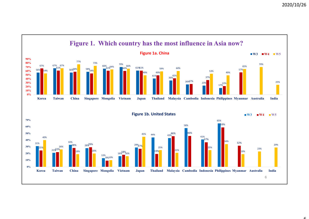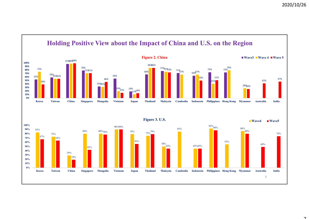